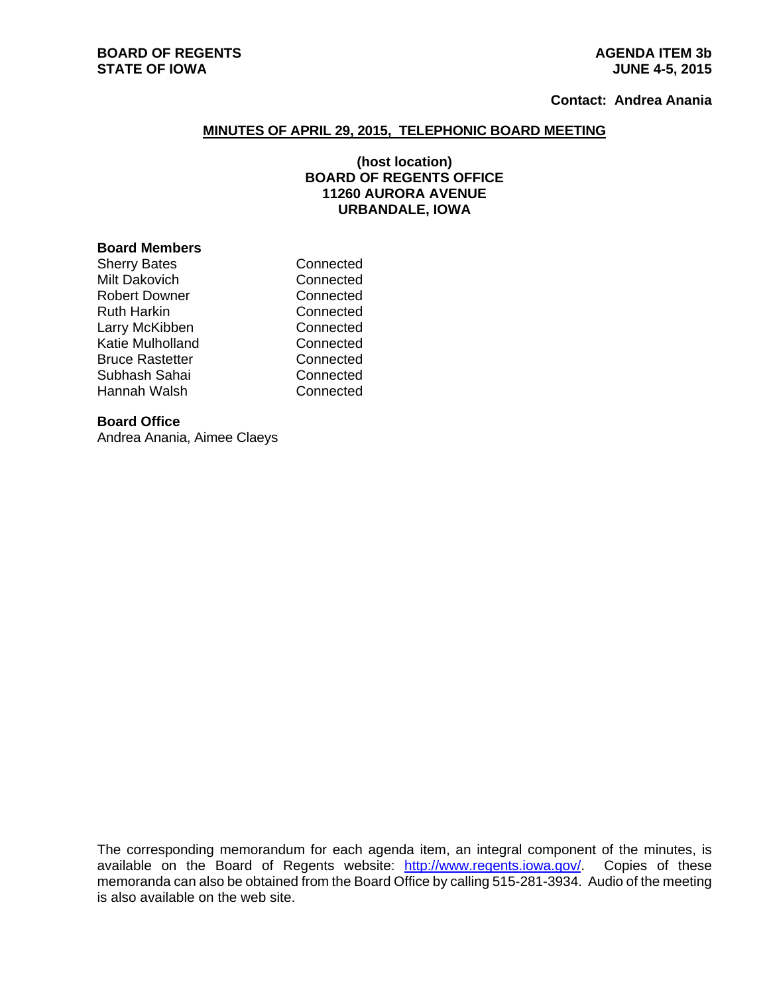# **BOARD OF REGENTS AGENUS AGENDA ITEM 3b STATE OF IOWA** JUNE 4-5, 2015

# **Contact: Andrea Anania**

#### **MINUTES OF APRIL 29, 2015, TELEPHONIC BOARD MEETING**

## **(host location) BOARD OF REGENTS OFFICE 11260 AURORA AVENUE URBANDALE, IOWA**

### **Board Members**

| Sherry Bates     | Connected |
|------------------|-----------|
| Milt Dakovich    | Connected |
| Robert Downer    | Connected |
| Ruth Harkin      | Connected |
| Larry McKibben   | Connected |
| Katie Mulholland | Connected |
| Bruce Rastetter  | Connected |
| Subhash Sahai    | Connected |
| Hannah Walsh     | Connected |

### **Board Office**

Andrea Anania, Aimee Claeys

The corresponding memorandum for each agenda item, an integral component of the minutes, is available on the Board of Regents website: http://www.regents.iowa.gov/. Copies of these memoranda can also be obtained from the Board Office by calling 515-281-3934. Audio of the meeting is also available on the web site.